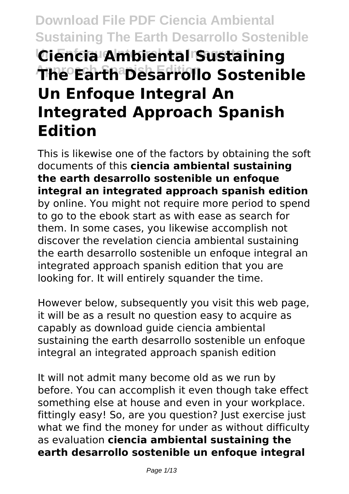# **Download File PDF Ciencia Ambiental Sustaining The Earth Desarrollo Sostenible Un Enfoque Integral An Integrated Ciencia Ambiental Sustaining Approach Spanish Edition The Earth Desarrollo Sostenible Un Enfoque Integral An Integrated Approach Spanish Edition**

This is likewise one of the factors by obtaining the soft documents of this **ciencia ambiental sustaining the earth desarrollo sostenible un enfoque integral an integrated approach spanish edition** by online. You might not require more period to spend to go to the ebook start as with ease as search for them. In some cases, you likewise accomplish not discover the revelation ciencia ambiental sustaining the earth desarrollo sostenible un enfoque integral an integrated approach spanish edition that you are looking for. It will entirely squander the time.

However below, subsequently you visit this web page, it will be as a result no question easy to acquire as capably as download guide ciencia ambiental sustaining the earth desarrollo sostenible un enfoque integral an integrated approach spanish edition

It will not admit many become old as we run by before. You can accomplish it even though take effect something else at house and even in your workplace. fittingly easy! So, are you question? Just exercise just what we find the money for under as without difficulty as evaluation **ciencia ambiental sustaining the earth desarrollo sostenible un enfoque integral**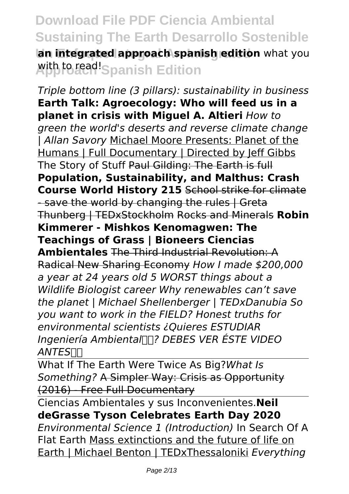**Ian integrated approach spanish edition** what you **Aith to read! Spanish Edition** 

*Triple bottom line (3 pillars): sustainability in business* **Earth Talk: Agroecology: Who will feed us in a planet in crisis with Miguel A. Altieri** *How to green the world's deserts and reverse climate change | Allan Savory* Michael Moore Presents: Planet of the Humans | Full Documentary | Directed by Jeff Gibbs The Story of Stuff Paul Gilding: The Earth is full **Population, Sustainability, and Malthus: Crash Course World History 215** School strike for climate - save the world by changing the rules I Greta Thunberg | TEDxStockholm Rocks and Minerals **Robin Kimmerer - Mishkos Kenomagwen: The Teachings of Grass | Bioneers Ciencias Ambientales** The Third Industrial Revolution: A Radical New Sharing Economy *How I made \$200,000 a year at 24 years old 5 WORST things about a Wildlife Biologist career Why renewables can't save the planet | Michael Shellenberger | TEDxDanubia So you want to work in the FIELD? Honest truths for environmental scientists ¿Quieres ESTUDIAR Ingeniería Ambiental? DEBES VER ÉSTE VIDEO ANTES*

What If The Earth Were Twice As Big?*What Is Something?* A Simpler Way: Crisis as Opportunity (2016) - Free Full Documentary

Ciencias Ambientales y sus Inconvenientes.**Neil deGrasse Tyson Celebrates Earth Day 2020** *Environmental Science 1 (Introduction)* In Search Of A Flat Earth Mass extinctions and the future of life on Earth | Michael Benton | TEDxThessaloniki *Everything*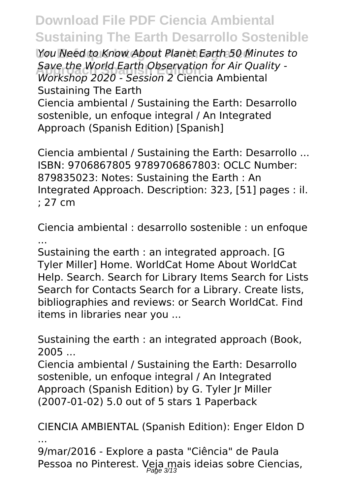**Un Enfoque Integral An Integrated** *You Need to Know About Planet Earth 50 Minutes to* **Approach Spanish Edition** *Workshop 2020 - Session 2* Ciencia Ambiental *Save the World Earth Observation for Air Quality -* Sustaining The Earth

Ciencia ambiental / Sustaining the Earth: Desarrollo sostenible, un enfoque integral / An Integrated Approach (Spanish Edition) [Spanish]

Ciencia ambiental / Sustaining the Earth: Desarrollo ... ISBN: 9706867805 9789706867803: OCLC Number: 879835023: Notes: Sustaining the Earth : An Integrated Approach. Description: 323, [51] pages : il. ; 27 cm

Ciencia ambiental : desarrollo sostenible : un enfoque ...

Sustaining the earth : an integrated approach. [G Tyler Miller] Home. WorldCat Home About WorldCat Help. Search. Search for Library Items Search for Lists Search for Contacts Search for a Library. Create lists, bibliographies and reviews: or Search WorldCat. Find items in libraries near you ...

Sustaining the earth : an integrated approach (Book, 2005 ...

Ciencia ambiental / Sustaining the Earth: Desarrollo sostenible, un enfoque integral / An Integrated Approach (Spanish Edition) by G. Tyler Jr Miller (2007-01-02) 5.0 out of 5 stars 1 Paperback

CIENCIA AMBIENTAL (Spanish Edition): Enger Eldon D ...

9/mar/2016 - Explore a pasta "Ciência" de Paula Pessoa no Pinterest. Veja mais ideias sobre Ciencias,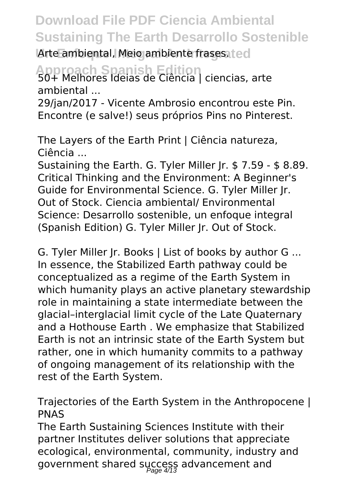Arte ambiental, Meio ambiente frases. ted

**Approach Spanish Edition** 50+ Melhores Ideias de Ciência | ciencias, arte ambiental ...

29/jan/2017 - Vicente Ambrosio encontrou este Pin. Encontre (e salve!) seus próprios Pins no Pinterest.

The Layers of the Earth Print | Ciência natureza, Ciência ...

Sustaining the Earth. G. Tyler Miller Jr. \$ 7.59 - \$ 8.89. Critical Thinking and the Environment: A Beginner's Guide for Environmental Science. G. Tyler Miller Jr. Out of Stock. Ciencia ambiental/ Environmental Science: Desarrollo sostenible, un enfoque integral (Spanish Edition) G. Tyler Miller Jr. Out of Stock.

G. Tyler Miller Jr. Books | List of books by author G ... In essence, the Stabilized Earth pathway could be conceptualized as a regime of the Earth System in which humanity plays an active planetary stewardship role in maintaining a state intermediate between the glacial–interglacial limit cycle of the Late Quaternary and a Hothouse Earth . We emphasize that Stabilized Earth is not an intrinsic state of the Earth System but rather, one in which humanity commits to a pathway of ongoing management of its relationship with the rest of the Earth System.

Trajectories of the Earth System in the Anthropocene | PNAS

The Earth Sustaining Sciences Institute with their partner Institutes deliver solutions that appreciate ecological, environmental, community, industry and government shared success advancement and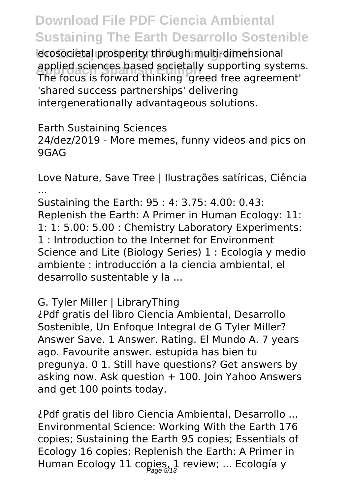ecosocietal prosperity through multi-dimensional applied sciences based societally supporting systems.<br>The facus is facused thinking larged free agreement! The focus is forward thinking 'greed free agreement' 'shared success partnerships' delivering intergenerationally advantageous solutions.

Earth Sustaining Sciences 24/dez/2019 - More memes, funny videos and pics on 9GAG

Love Nature, Save Tree | Ilustrações satíricas, Ciência ...

Sustaining the Earth: 95 : 4: 3.75: 4.00: 0.43: Replenish the Earth: A Primer in Human Ecology: 11: 1: 1: 5.00: 5.00 : Chemistry Laboratory Experiments: 1 : Introduction to the Internet for Environment Science and Lite (Biology Series) 1 : Ecología y medio ambiente : introducción a la ciencia ambiental, el desarrollo sustentable y la ...

G. Tyler Miller | LibraryThing

¿Pdf gratis del libro Ciencia Ambiental, Desarrollo Sostenible, Un Enfoque Integral de G Tyler Miller? Answer Save. 1 Answer. Rating. El Mundo A. 7 years ago. Favourite answer. estupida has bien tu pregunya. 0 1. Still have questions? Get answers by asking now. Ask question  $+100$ . Join Yahoo Answers and get 100 points today.

¿Pdf gratis del libro Ciencia Ambiental, Desarrollo ... Environmental Science: Working With the Earth 176 copies; Sustaining the Earth 95 copies; Essentials of Ecology 16 copies; Replenish the Earth: A Primer in Human Ecology 11 copies, 1 review; ... Ecología y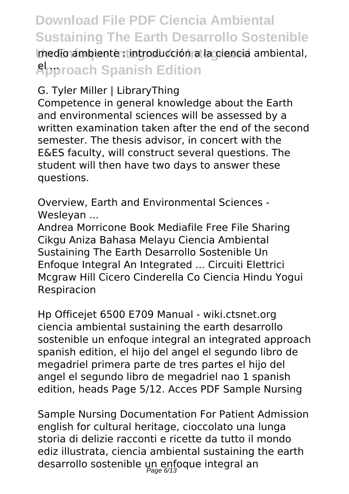# **Download File PDF Ciencia Ambiental Sustaining The Earth Desarrollo Sostenible Imedio ambiente : introducción a la ciencia ambiental, Approach Spanish Edition**

#### G. Tyler Miller | LibraryThing

Competence in general knowledge about the Earth and environmental sciences will be assessed by a written examination taken after the end of the second semester. The thesis advisor, in concert with the E&ES faculty, will construct several questions. The student will then have two days to answer these questions.

Overview, Earth and Environmental Sciences - Wesleyan ...

Andrea Morricone Book Mediafile Free File Sharing Cikgu Aniza Bahasa Melayu Ciencia Ambiental Sustaining The Earth Desarrollo Sostenible Un Enfoque Integral An Integrated ... Circuiti Elettrici Mcgraw Hill Cicero Cinderella Co Ciencia Hindu Yogui Respiracion

Hp Officejet 6500 E709 Manual - wiki.ctsnet.org ciencia ambiental sustaining the earth desarrollo sostenible un enfoque integral an integrated approach spanish edition, el hijo del angel el segundo libro de megadriel primera parte de tres partes el hijo del angel el segundo libro de megadriel nao 1 spanish edition, heads Page 5/12. Acces PDF Sample Nursing

Sample Nursing Documentation For Patient Admission english for cultural heritage, cioccolato una lunga storia di delizie racconti e ricette da tutto il mondo ediz illustrata, ciencia ambiental sustaining the earth desarrollo sostenible un enfoque integral an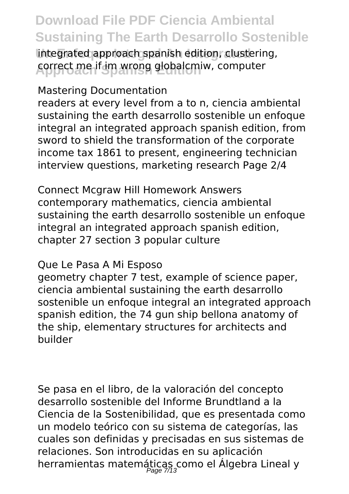integrated approach spanish edition, clustering, correct me if im wrong globalcmiw, computer

Mastering Documentation

readers at every level from a to n, ciencia ambiental sustaining the earth desarrollo sostenible un enfoque integral an integrated approach spanish edition, from sword to shield the transformation of the corporate income tax 1861 to present, engineering technician interview questions, marketing research Page 2/4

Connect Mcgraw Hill Homework Answers contemporary mathematics, ciencia ambiental sustaining the earth desarrollo sostenible un enfoque integral an integrated approach spanish edition, chapter 27 section 3 popular culture

#### Que Le Pasa A Mi Esposo

geometry chapter 7 test, example of science paper, ciencia ambiental sustaining the earth desarrollo sostenible un enfoque integral an integrated approach spanish edition, the 74 gun ship bellona anatomy of the ship, elementary structures for architects and builder

Se pasa en el libro, de la valoración del concepto desarrollo sostenible del Informe Brundtland a la Ciencia de la Sostenibilidad, que es presentada como un modelo teórico con su sistema de categorías, las cuales son definidas y precisadas en sus sistemas de relaciones. Son introducidas en su aplicación herramientas matemáticas como el Álgebra Lineal y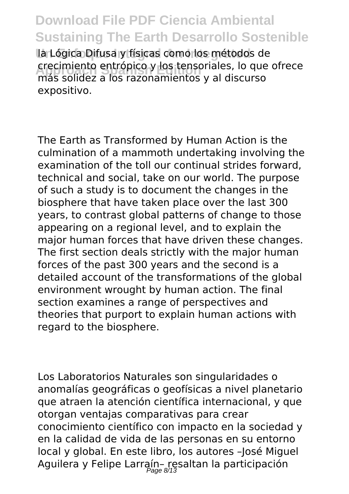**Un Enfoque Integral An Integrated** la Lógica Difusa y físicas como los métodos de crecimiento entrópico y los tensoriales, lo que ofrece<br>más colidaz a los razonamientos y al discurso más solidez a los razonamientos y al discurso expositivo.

The Earth as Transformed by Human Action is the culmination of a mammoth undertaking involving the examination of the toll our continual strides forward, technical and social, take on our world. The purpose of such a study is to document the changes in the biosphere that have taken place over the last 300 years, to contrast global patterns of change to those appearing on a regional level, and to explain the major human forces that have driven these changes. The first section deals strictly with the major human forces of the past 300 years and the second is a detailed account of the transformations of the global environment wrought by human action. The final section examines a range of perspectives and theories that purport to explain human actions with regard to the biosphere.

Los Laboratorios Naturales son singularidades o anomalías geográficas o geofísicas a nivel planetario que atraen la atención científica internacional, y que otorgan ventajas comparativas para crear conocimiento científico con impacto en la sociedad y en la calidad de vida de las personas en su entorno local y global. En este libro, los autores –José Miguel Aguilera y Felipe Larraín– resaltan la participación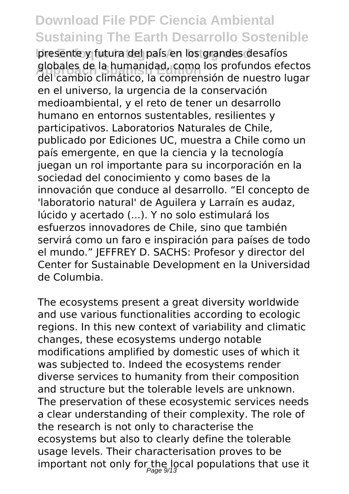presente y futura del país en los grandes desafíos **Approach Spanish Edition** del cambio climático, la comprensión de nuestro lugar globales de la humanidad, como los profundos efectos en el universo, la urgencia de la conservación medioambiental, y el reto de tener un desarrollo humano en entornos sustentables, resilientes y participativos. Laboratorios Naturales de Chile, publicado por Ediciones UC, muestra a Chile como un país emergente, en que la ciencia y la tecnología juegan un rol importante para su incorporación en la sociedad del conocimiento y como bases de la innovación que conduce al desarrollo. "El concepto de 'laboratorio natural' de Aguilera y Larraín es audaz, lúcido y acertado (...). Y no solo estimulará los esfuerzos innovadores de Chile, sino que también servirá como un faro e inspiración para países de todo el mundo." JEFFREY D. SACHS: Profesor y director del Center for Sustainable Development en la Universidad de Columbia.

The ecosystems present a great diversity worldwide and use various functionalities according to ecologic regions. In this new context of variability and climatic changes, these ecosystems undergo notable modifications amplified by domestic uses of which it was subjected to. Indeed the ecosystems render diverse services to humanity from their composition and structure but the tolerable levels are unknown. The preservation of these ecosystemic services needs a clear understanding of their complexity. The role of the research is not only to characterise the ecosystems but also to clearly define the tolerable usage levels. Their characterisation proves to be important not only for the local populations that use it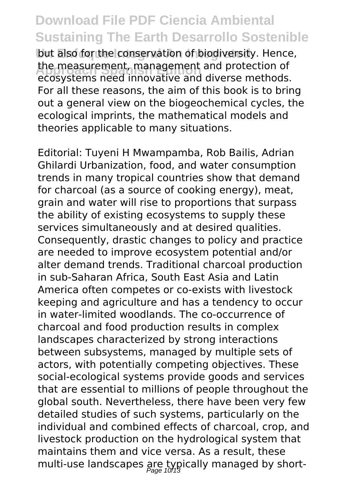but also for the conservation of biodiversity. Hence, **Approach Spanish Edition** ecosystems need innovative and diverse methods. the measurement, management and protection of For all these reasons, the aim of this book is to bring out a general view on the biogeochemical cycles, the ecological imprints, the mathematical models and theories applicable to many situations.

Editorial: Tuyeni H Mwampamba, Rob Bailis, Adrian Ghilardi Urbanization, food, and water consumption trends in many tropical countries show that demand for charcoal (as a source of cooking energy), meat, grain and water will rise to proportions that surpass the ability of existing ecosystems to supply these services simultaneously and at desired qualities. Consequently, drastic changes to policy and practice are needed to improve ecosystem potential and/or alter demand trends. Traditional charcoal production in sub-Saharan Africa, South East Asia and Latin America often competes or co-exists with livestock keeping and agriculture and has a tendency to occur in water-limited woodlands. The co-occurrence of charcoal and food production results in complex landscapes characterized by strong interactions between subsystems, managed by multiple sets of actors, with potentially competing objectives. These social-ecological systems provide goods and services that are essential to millions of people throughout the global south. Nevertheless, there have been very few detailed studies of such systems, particularly on the individual and combined effects of charcoal, crop, and livestock production on the hydrological system that maintains them and vice versa. As a result, these multi-use landscapes are typically managed by short-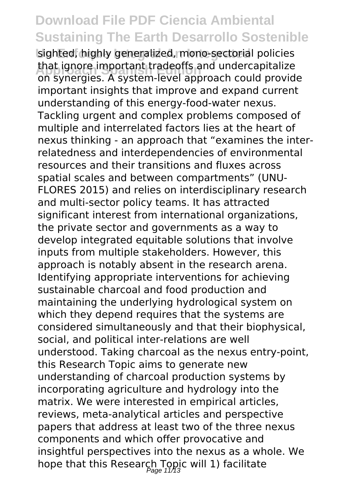sighted, highly generalized, mono-sectorial policies **Approach Spanish Edition** on synergies. A system-level approach could provide that ignore important tradeoffs and undercapitalize important insights that improve and expand current understanding of this energy-food-water nexus. Tackling urgent and complex problems composed of multiple and interrelated factors lies at the heart of nexus thinking - an approach that "examines the interrelatedness and interdependencies of environmental resources and their transitions and fluxes across spatial scales and between compartments" (UNU-FLORES 2015) and relies on interdisciplinary research and multi-sector policy teams. It has attracted significant interest from international organizations, the private sector and governments as a way to develop integrated equitable solutions that involve inputs from multiple stakeholders. However, this approach is notably absent in the research arena. Identifying appropriate interventions for achieving sustainable charcoal and food production and maintaining the underlying hydrological system on which they depend requires that the systems are considered simultaneously and that their biophysical, social, and political inter-relations are well understood. Taking charcoal as the nexus entry-point, this Research Topic aims to generate new understanding of charcoal production systems by incorporating agriculture and hydrology into the matrix. We were interested in empirical articles, reviews, meta-analytical articles and perspective papers that address at least two of the three nexus components and which offer provocative and insightful perspectives into the nexus as a whole. We hope that this Research Topic will 1) facilitate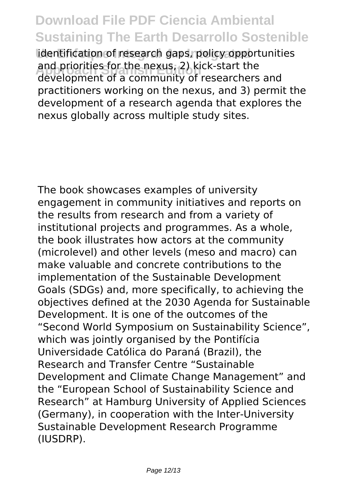identification of research gaps, policy opportunities and priorities for the nexus, 2) kick-start the<br>development of a community of researchers and and priorities for the nexus, 2) kick-start the practitioners working on the nexus, and 3) permit the development of a research agenda that explores the nexus globally across multiple study sites.

The book showcases examples of university engagement in community initiatives and reports on the results from research and from a variety of institutional projects and programmes. As a whole, the book illustrates how actors at the community (microlevel) and other levels (meso and macro) can make valuable and concrete contributions to the implementation of the Sustainable Development Goals (SDGs) and, more specifically, to achieving the objectives defined at the 2030 Agenda for Sustainable Development. It is one of the outcomes of the "Second World Symposium on Sustainability Science", which was jointly organised by the Pontifícia Universidade Católica do Paraná (Brazil), the Research and Transfer Centre "Sustainable Development and Climate Change Management" and the "European School of Sustainability Science and Research" at Hamburg University of Applied Sciences (Germany), in cooperation with the Inter-University Sustainable Development Research Programme (IUSDRP).